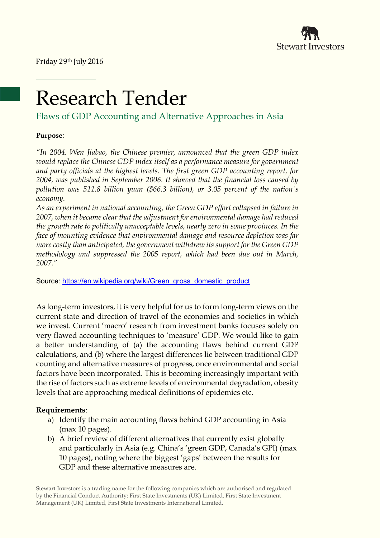

# Research Tender

Flaws of GDP Accounting and Alternative Approaches in Asia

# **Purpose**:

*"In 2004, Wen Jiabao, the Chinese premier, announced that the green GDP index would replace the Chinese GDP index itself as a performance measure for government and party officials at the highest levels. The first green GDP accounting report, for 2004, was published in September 2006. It showed that the financial loss caused by pollution was 511.8 billion yuan (\$66.3 billion), or 3.05 percent of the nation's economy.*

*As an experiment in national accounting, the Green GDP effort collapsed in failure in 2007, when it became clear that the adjustment for environmental damage had reduced the growth rate to politically unacceptable levels, nearly zero in some provinces. In the face of mounting evidence that environmental damage and resource depletion was far more costly than anticipated, the government withdrew its support for the Green GDP methodology and suppressed the 2005 report, which had been due out in March, 2007."* 

Source: [https://en.wikipedia.org/wiki/Green\\_gross\\_domestic\\_product](https://en.wikipedia.org/wiki/Green_gross_domestic_product)

As long-term investors, it is very helpful for us to form long-term views on the current state and direction of travel of the economies and societies in which we invest. Current 'macro' research from investment banks focuses solely on very flawed accounting techniques to 'measure' GDP. We would like to gain a better understanding of (a) the accounting flaws behind current GDP calculations, and (b) where the largest differences lie between traditional GDP counting and alternative measures of progress, once environmental and social factors have been incorporated. This is becoming increasingly important with the rise of factors such as extreme levels of environmental degradation, obesity levels that are approaching medical definitions of epidemics etc.

# **Requirements**:

- a) Identify the main accounting flaws behind GDP accounting in Asia (max 10 pages).
- b) A brief review of different alternatives that currently exist globally and particularly in Asia (e.g. China's 'green GDP, Canada's GPI) (max 10 pages), noting where the biggest 'gaps' between the results for GDP and these alternative measures are.

Stewart Investors is a trading name for the following companies which are authorised and regulated by the Financial Conduct Authority: First State Investments (UK) Limited, First State Investment Management (UK) Limited, First State Investments International Limited.